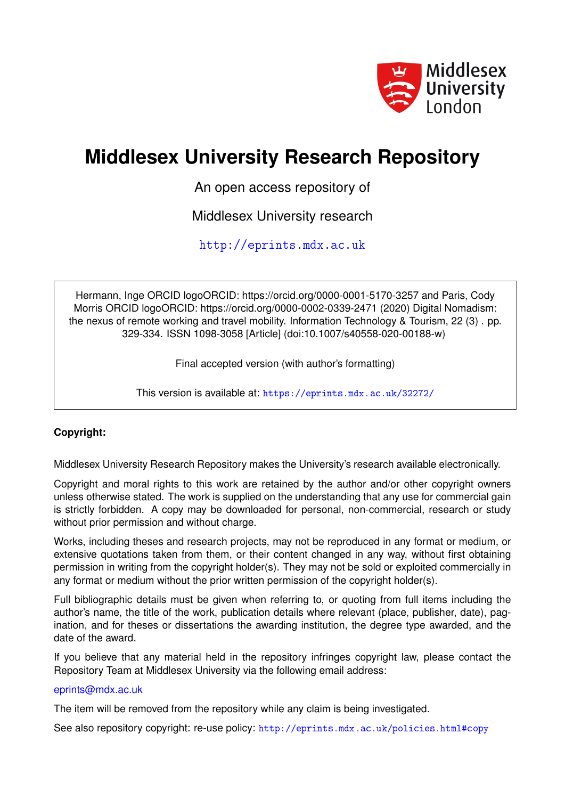

# **Middlesex University Research Repository**

An open access repository of

Middlesex University research

<http://eprints.mdx.ac.uk>

Hermann, Inge ORCID logoORCID: https://orcid.org/0000-0001-5170-3257 and Paris, Cody Morris ORCID logoORCID: https://orcid.org/0000-0002-0339-2471 (2020) Digital Nomadism: the nexus of remote working and travel mobility. Information Technology & Tourism, 22 (3) . pp. 329-334. ISSN 1098-3058 [Article] (doi:10.1007/s40558-020-00188-w)

Final accepted version (with author's formatting)

This version is available at: <https://eprints.mdx.ac.uk/32272/>

## **Copyright:**

Middlesex University Research Repository makes the University's research available electronically.

Copyright and moral rights to this work are retained by the author and/or other copyright owners unless otherwise stated. The work is supplied on the understanding that any use for commercial gain is strictly forbidden. A copy may be downloaded for personal, non-commercial, research or study without prior permission and without charge.

Works, including theses and research projects, may not be reproduced in any format or medium, or extensive quotations taken from them, or their content changed in any way, without first obtaining permission in writing from the copyright holder(s). They may not be sold or exploited commercially in any format or medium without the prior written permission of the copyright holder(s).

Full bibliographic details must be given when referring to, or quoting from full items including the author's name, the title of the work, publication details where relevant (place, publisher, date), pagination, and for theses or dissertations the awarding institution, the degree type awarded, and the date of the award.

If you believe that any material held in the repository infringes copyright law, please contact the Repository Team at Middlesex University via the following email address:

### [eprints@mdx.ac.uk](mailto:eprints@mdx.ac.uk)

The item will be removed from the repository while any claim is being investigated.

See also repository copyright: re-use policy: <http://eprints.mdx.ac.uk/policies.html#copy>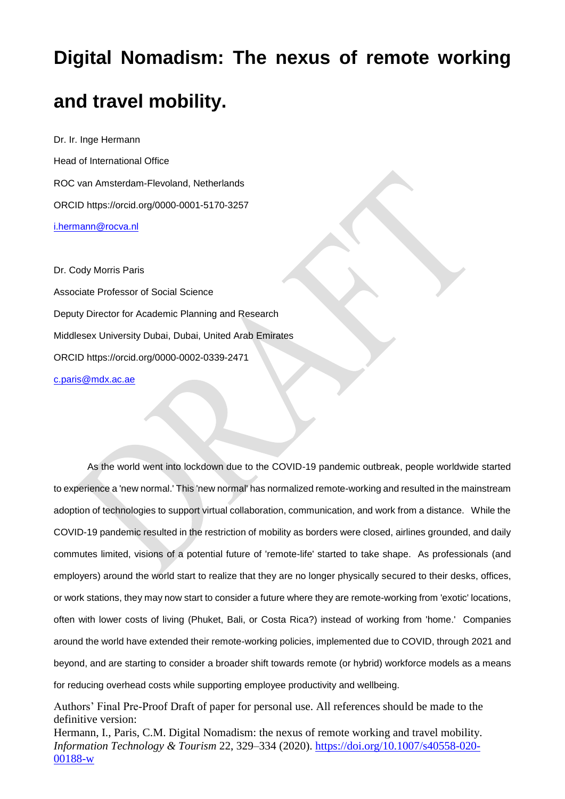# **Digital Nomadism: The nexus of remote working**

## **and travel mobility.**

Dr. Ir. Inge Hermann Head of International Office ROC van Amsterdam-Flevoland, Netherlands ORCID https://orcid.org/0000-0001-5170-3257 [i.hermann@rocva.nl](mailto:i.hermann@rocva.nl)

Dr. Cody Morris Paris Associate Professor of Social Science Deputy Director for Academic Planning and Research Middlesex University Dubai, Dubai, United Arab Emirates ORCID https://orcid.org/0000-0002-0339-2471 [c.paris@mdx.ac.ae](mailto:c.paris@mdx.ac.ae)

As the world went into lockdown due to the COVID-19 pandemic outbreak, people worldwide started to experience a 'new normal.' This 'new normal' has normalized remote-working and resulted in the mainstream adoption of technologies to support virtual collaboration, communication, and work from a distance. While the COVID-19 pandemic resulted in the restriction of mobility as borders were closed, airlines grounded, and daily commutes limited, visions of a potential future of 'remote-life' started to take shape. As professionals (and employers) around the world start to realize that they are no longer physically secured to their desks, offices, or work stations, they may now start to consider a future where they are remote-working from 'exotic' locations, often with lower costs of living (Phuket, Bali, or Costa Rica?) instead of working from 'home.' Companies around the world have extended their remote-working policies, implemented due to COVID, through 2021 and beyond, and are starting to consider a broader shift towards remote (or hybrid) workforce models as a means for reducing overhead costs while supporting employee productivity and wellbeing.

Authors' Final Pre-Proof Draft of paper for personal use. All references should be made to the definitive version: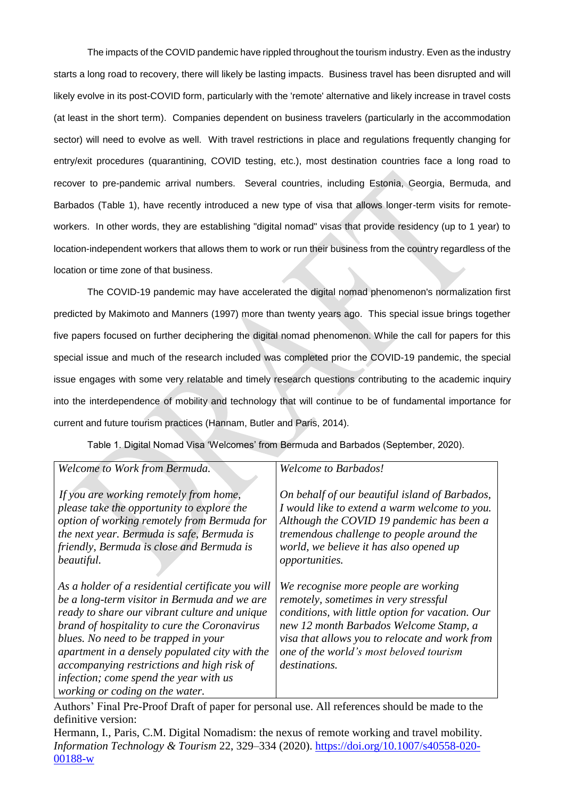The impacts of the COVID pandemic have rippled throughout the tourism industry. Even as the industry starts a long road to recovery, there will likely be lasting impacts. Business travel has been disrupted and will likely evolve in its post-COVID form, particularly with the 'remote' alternative and likely increase in travel costs (at least in the short term). Companies dependent on business travelers (particularly in the accommodation sector) will need to evolve as well. With travel restrictions in place and regulations frequently changing for entry/exit procedures (quarantining, COVID testing, etc.), most destination countries face a long road to recover to pre-pandemic arrival numbers. Several countries, including Estonia, Georgia, Bermuda, and Barbados (Table 1), have recently introduced a new type of visa that allows longer-term visits for remoteworkers. In other words, they are establishing "digital nomad" visas that provide residency (up to 1 year) to location-independent workers that allows them to work or run their business from the country regardless of the location or time zone of that business.

The COVID-19 pandemic may have accelerated the digital nomad phenomenon's normalization first predicted by Makimoto and Manners (1997) more than twenty years ago. This special issue brings together five papers focused on further deciphering the digital nomad phenomenon. While the call for papers for this special issue and much of the research included was completed prior the COVID-19 pandemic, the special issue engages with some very relatable and timely research questions contributing to the academic inquiry into the interdependence of mobility and technology that will continue to be of fundamental importance for current and future tourism practices (Hannam, Butler and Paris, 2014).

Table 1. Digital Nomad Visa 'Welcomes' from Bermuda and Barbados (September, 2020).

| Welcome to Work from Bermuda.                     | <b>Welcome to Barbados!</b>                      |
|---------------------------------------------------|--------------------------------------------------|
|                                                   |                                                  |
| If you are working remotely from home,            | On behalf of our beautiful island of Barbados,   |
| please take the opportunity to explore the        | I would like to extend a warm welcome to you.    |
| option of working remotely from Bermuda for       | Although the COVID 19 pandemic has been a        |
| the next year. Bermuda is safe, Bermuda is        | tremendous challenge to people around the        |
| friendly, Bermuda is close and Bermuda is         | world, we believe it has also opened up          |
| beautiful.                                        | opportunities.                                   |
|                                                   |                                                  |
| As a holder of a residential certificate you will | We recognise more people are working             |
| be a long-term visitor in Bermuda and we are      | remotely, sometimes in very stressful            |
| ready to share our vibrant culture and unique     | conditions, with little option for vacation. Our |
| brand of hospitality to cure the Coronavirus      | new 12 month Barbados Welcome Stamp, a           |
| blues. No need to be trapped in your              | visa that allows you to relocate and work from   |
| apartment in a densely populated city with the    | one of the world's most beloved tourism          |
| accompanying restrictions and high risk of        | destinations.                                    |
| infection; come spend the year with us            |                                                  |
| working or coding on the water.                   |                                                  |

Authors' Final Pre-Proof Draft of paper for personal use. All references should be made to the definitive version: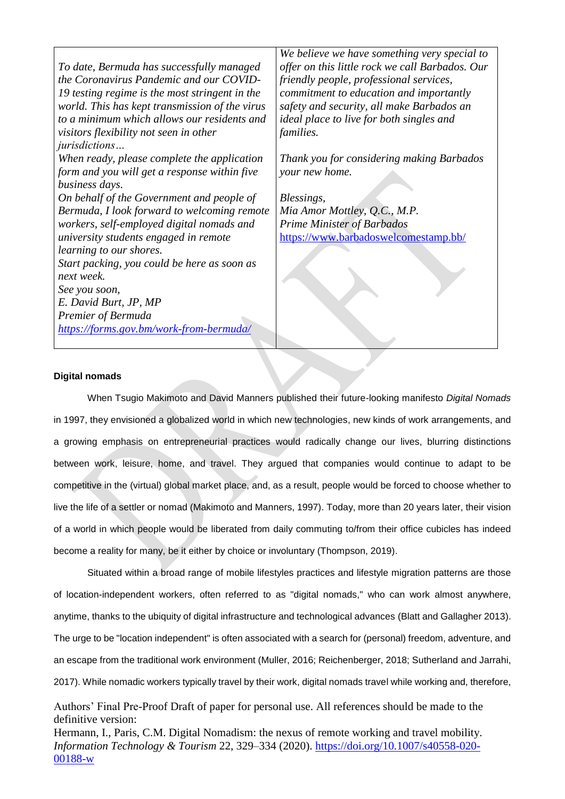*To date, Bermuda has successfully managed the Coronavirus Pandemic and our COVID-19 testing regime is the most stringent in the world. This has kept transmission of the virus to a minimum which allows our residents and visitors flexibility not seen in other jurisdictions… When ready, please complete the application form and you will get a response within five business days. On behalf of the Government and people of Bermuda, I look forward to welcoming remote workers, self-employed digital nomads and university students engaged in remote learning to our shores. Start packing, you could be here as soon as next week. See you soon, E. David Burt, JP, MP Premier of Bermuda <https://forms.gov.bm/work-from-bermuda/> We believe we have something very special to offer on this little rock we call Barbados. Our friendly people, professional services, commitment to education and importantly safety and security, all make Barbados an ideal place to live for both singles and families. Thank you for considering making Barbados your new home. Blessings, Mia Amor Mottley, Q.C., M.P. Prime Minister of Barbados* <https://www.barbadoswelcomestamp.bb/>

### **Digital nomads**

When Tsugio Makimoto and David Manners published their future-looking manifesto *Digital Nomads*  in 1997, they envisioned a globalized world in which new technologies, new kinds of work arrangements, and a growing emphasis on entrepreneurial practices would radically change our lives, blurring distinctions between work, leisure, home, and travel. They argued that companies would continue to adapt to be competitive in the (virtual) global market place, and, as a result, people would be forced to choose whether to live the life of a settler or nomad (Makimoto and Manners, 1997). Today, more than 20 years later, their vision of a world in which people would be liberated from daily commuting to/from their office cubicles has indeed become a reality for many, be it either by choice or involuntary (Thompson, 2019).

Situated within a broad range of mobile lifestyles practices and lifestyle migration patterns are those of location-independent workers, often referred to as "digital nomads," who can work almost anywhere, anytime, thanks to the ubiquity of digital infrastructure and technological advances (Blatt and Gallagher 2013). The urge to be "location independent" is often associated with a search for (personal) freedom, adventure, and an escape from the traditional work environment (Muller, 2016; Reichenberger, 2018; Sutherland and Jarrahi, 2017). While nomadic workers typically travel by their work, digital nomads travel while working and, therefore,

Authors' Final Pre-Proof Draft of paper for personal use. All references should be made to the definitive version: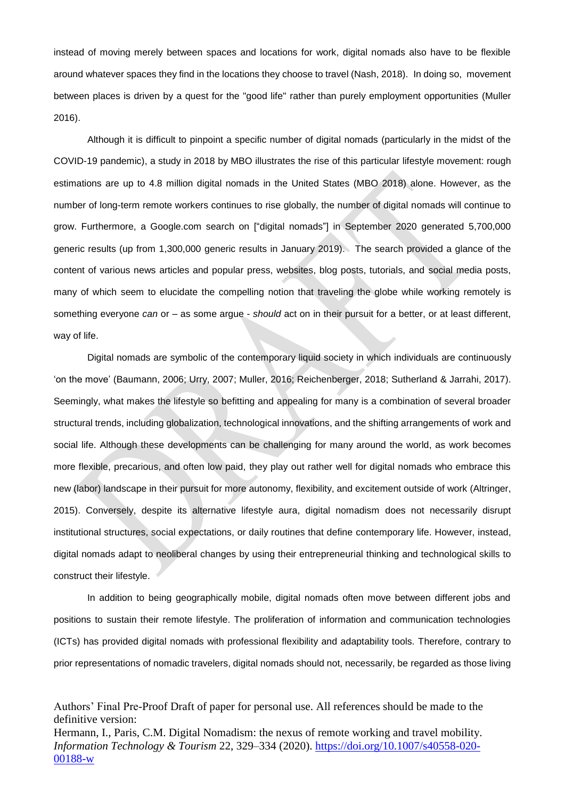instead of moving merely between spaces and locations for work, digital nomads also have to be flexible around whatever spaces they find in the locations they choose to travel (Nash, 2018). In doing so, movement between places is driven by a quest for the "good life" rather than purely employment opportunities (Muller 2016).

Although it is difficult to pinpoint a specific number of digital nomads (particularly in the midst of the COVID-19 pandemic), a study in 2018 by MBO illustrates the rise of this particular lifestyle movement: rough estimations are up to 4.8 million digital nomads in the United States (MBO 2018) alone. However, as the number of long-term remote workers continues to rise globally, the number of digital nomads will continue to grow. Furthermore, a Google.com search on ["digital nomads"] in September 2020 generated 5,700,000 generic results (up from 1,300,000 generic results in January 2019). The search provided a glance of the content of various news articles and popular press, websites, blog posts, tutorials, and social media posts, many of which seem to elucidate the compelling notion that traveling the globe while working remotely is something everyone *can* or – as some argue - *should* act on in their pursuit for a better, or at least different, way of life.

Digital nomads are symbolic of the contemporary liquid society in which individuals are continuously 'on the move' (Baumann, 2006; Urry, 2007; Muller, 2016; Reichenberger, 2018; Sutherland & Jarrahi, 2017). Seemingly, what makes the lifestyle so befitting and appealing for many is a combination of several broader structural trends, including globalization, technological innovations, and the shifting arrangements of work and social life. Although these developments can be challenging for many around the world, as work becomes more flexible, precarious, and often low paid, they play out rather well for digital nomads who embrace this new (labor) landscape in their pursuit for more autonomy, flexibility, and excitement outside of work (Altringer, 2015). Conversely, despite its alternative lifestyle aura, digital nomadism does not necessarily disrupt institutional structures, social expectations, or daily routines that define contemporary life. However, instead, digital nomads adapt to neoliberal changes by using their entrepreneurial thinking and technological skills to construct their lifestyle.

In addition to being geographically mobile, digital nomads often move between different jobs and positions to sustain their remote lifestyle. The proliferation of information and communication technologies (ICTs) has provided digital nomads with professional flexibility and adaptability tools. Therefore, contrary to prior representations of nomadic travelers, digital nomads should not, necessarily, be regarded as those living

Authors' Final Pre-Proof Draft of paper for personal use. All references should be made to the definitive version: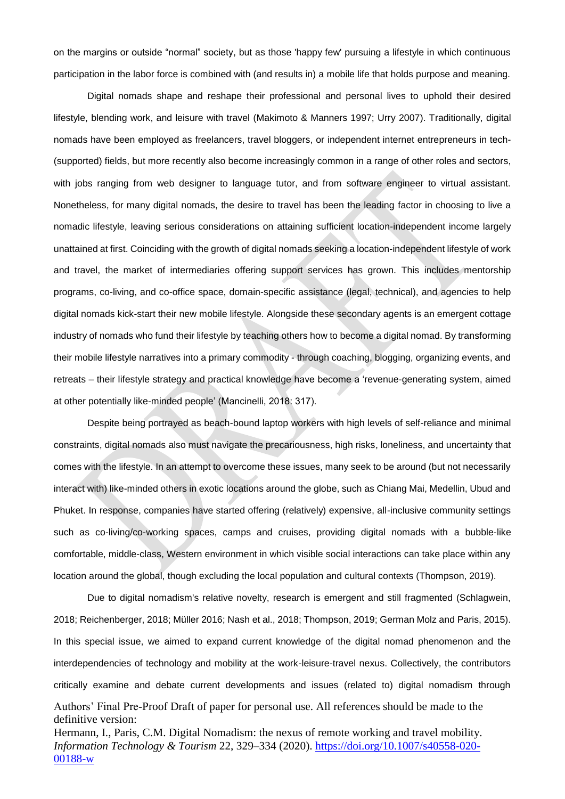on the margins or outside "normal" society, but as those 'happy few' pursuing a lifestyle in which continuous participation in the labor force is combined with (and results in) a mobile life that holds purpose and meaning.

Digital nomads shape and reshape their professional and personal lives to uphold their desired lifestyle, blending work, and leisure with travel (Makimoto & Manners 1997; Urry 2007). Traditionally, digital nomads have been employed as freelancers, travel bloggers, or independent internet entrepreneurs in tech- (supported) fields, but more recently also become increasingly common in a range of other roles and sectors, with jobs ranging from web designer to language tutor, and from software engineer to virtual assistant. Nonetheless, for many digital nomads, the desire to travel has been the leading factor in choosing to live a nomadic lifestyle, leaving serious considerations on attaining sufficient location-independent income largely unattained at first. Coinciding with the growth of digital nomads seeking a location-independent lifestyle of work and travel, the market of intermediaries offering support services has grown. This includes mentorship programs, co-living, and co-office space, domain-specific assistance (legal, technical), and agencies to help digital nomads kick-start their new mobile lifestyle. Alongside these secondary agents is an emergent cottage industry of nomads who fund their lifestyle by teaching others how to become a digital nomad. By transforming their mobile lifestyle narratives into a primary commodity - through coaching, blogging, organizing events, and retreats – their lifestyle strategy and practical knowledge have become a 'revenue-generating system, aimed at other potentially like-minded people' (Mancinelli, 2018: 317).

Despite being portrayed as beach-bound laptop workers with high levels of self-reliance and minimal constraints, digital nomads also must navigate the precariousness, high risks, loneliness, and uncertainty that comes with the lifestyle. In an attempt to overcome these issues, many seek to be around (but not necessarily interact with) like-minded others in exotic locations around the globe, such as Chiang Mai, Medellin, Ubud and Phuket. In response, companies have started offering (relatively) expensive, all-inclusive community settings such as co-living/co-working spaces, camps and cruises, providing digital nomads with a bubble-like comfortable, middle-class, Western environment in which visible social interactions can take place within any location around the global, though excluding the local population and cultural contexts (Thompson, 2019).

Authors' Final Pre-Proof Draft of paper for personal use. All references should be made to the definitive version: Hermann, I., Paris, C.M. Digital Nomadism: the nexus of remote working and travel mobility. *Information Technology & Tourism* 22, 329–334 (2020). [https://doi.org/10.1007/s40558-020-](https://doi.org/10.1007/s40558-020-00188-w) [00188-w](https://doi.org/10.1007/s40558-020-00188-w) Due to digital nomadism's relative novelty, research is emergent and still fragmented (Schlagwein, 2018; Reichenberger, 2018; Müller 2016; Nash et al., 2018; Thompson, 2019; German Molz and Paris, 2015). In this special issue, we aimed to expand current knowledge of the digital nomad phenomenon and the interdependencies of technology and mobility at the work-leisure-travel nexus. Collectively, the contributors critically examine and debate current developments and issues (related to) digital nomadism through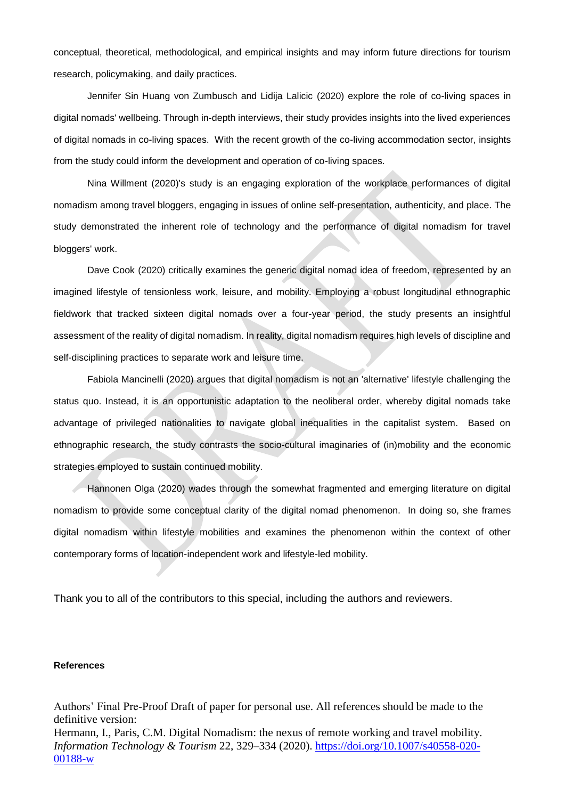conceptual, theoretical, methodological, and empirical insights and may inform future directions for tourism research, policymaking, and daily practices.

Jennifer Sin Huang von Zumbusch and Lidija Lalicic (2020) explore the role of co-living spaces in digital nomads' wellbeing. Through in-depth interviews, their study provides insights into the lived experiences of digital nomads in co-living spaces. With the recent growth of the co-living accommodation sector, insights from the study could inform the development and operation of co-living spaces.

Nina Willment (2020)'s study is an engaging exploration of the workplace performances of digital nomadism among travel bloggers, engaging in issues of online self-presentation, authenticity, and place. The study demonstrated the inherent role of technology and the performance of digital nomadism for travel bloggers' work.

Dave Cook (2020) critically examines the generic digital nomad idea of freedom, represented by an imagined lifestyle of tensionless work, leisure, and mobility. Employing a robust longitudinal ethnographic fieldwork that tracked sixteen digital nomads over a four-year period, the study presents an insightful assessment of the reality of digital nomadism. In reality, digital nomadism requires high levels of discipline and self-disciplining practices to separate work and leisure time.

Fabiola Mancinelli (2020) argues that digital nomadism is not an 'alternative' lifestyle challenging the status quo. Instead, it is an opportunistic adaptation to the neoliberal order, whereby digital nomads take advantage of privileged nationalities to navigate global inequalities in the capitalist system. Based on ethnographic research, the study contrasts the socio-cultural imaginaries of (in)mobility and the economic strategies employed to sustain continued mobility.

Hannonen Olga (2020) wades through the somewhat fragmented and emerging literature on digital nomadism to provide some conceptual clarity of the digital nomad phenomenon. In doing so, she frames digital nomadism within lifestyle mobilities and examines the phenomenon within the context of other contemporary forms of location-independent work and lifestyle-led mobility.

Thank you to all of the contributors to this special, including the authors and reviewers.

### **References**

Authors' Final Pre-Proof Draft of paper for personal use. All references should be made to the definitive version: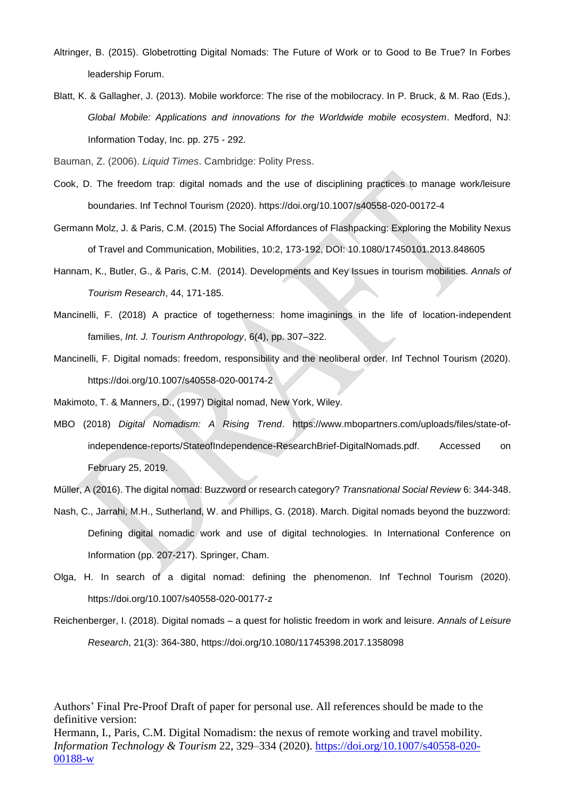- Altringer, B. (2015). Globetrotting Digital Nomads: The Future of Work or to Good to Be True? In Forbes leadership Forum.
- Blatt, K. & Gallagher, J. (2013). Mobile workforce: The rise of the mobilocracy. In P. Bruck, & M. Rao (Eds.), *Global Mobile: Applications and innovations for the Worldwide mobile ecosystem*. Medford, NJ: Information Today, Inc. pp. 275 - 292.
- Bauman, Z. (2006). *Liquid Times*. Cambridge: Polity Press.
- Cook, D. The freedom trap: digital nomads and the use of disciplining practices to manage work/leisure boundaries. Inf Technol Tourism (2020). https://doi.org/10.1007/s40558-020-00172-4
- Germann Molz, J. & Paris, C.M. (2015) The Social Affordances of Flashpacking: Exploring the Mobility Nexus of Travel and Communication, Mobilities, 10:2, 173-192, DOI: 10.1080/17450101.2013.848605
- Hannam, K., Butler, G., & Paris, C.M. (2014). Developments and Key Issues in tourism mobilities. *Annals of Tourism Research*, 44, 171-185.
- Mancinelli, F. (2018) A practice of togetherness: home imaginings in the life of location-independent families, *Int. J. Tourism Anthropology*, 6(4), pp. 307–322.
- Mancinelli, F. Digital nomads: freedom, responsibility and the neoliberal order. Inf Technol Tourism (2020). https://doi.org/10.1007/s40558-020-00174-2
- Makimoto, T. & Manners, D., (1997) Digital nomad, New York, Wiley.
- MBO (2018) *Digital Nomadism: A Rising Trend*. https://www.mbopartners.com/uploads/files/state-ofindependence-reports/StateofIndependence-ResearchBrief-DigitalNomads.pdf. Accessed on February 25, 2019.
- Müller, A (2016). The digital nomad: Buzzword or research category? *Transnational Social Review* 6: 344-348.
- Nash, C., Jarrahi, M.H., Sutherland, W. and Phillips, G. (2018). March. Digital nomads beyond the buzzword: Defining digital nomadic work and use of digital technologies. In International Conference on Information (pp. 207-217). Springer, Cham.
- Olga, H. In search of a digital nomad: defining the phenomenon. Inf Technol Tourism (2020). https://doi.org/10.1007/s40558-020-00177-z
- Reichenberger, I. (2018). Digital nomads a quest for holistic freedom in work and leisure. *Annals of Leisure Research*, 21(3): 364-380, https://doi.org/10.1080/11745398.2017.1358098

Authors' Final Pre-Proof Draft of paper for personal use. All references should be made to the definitive version: